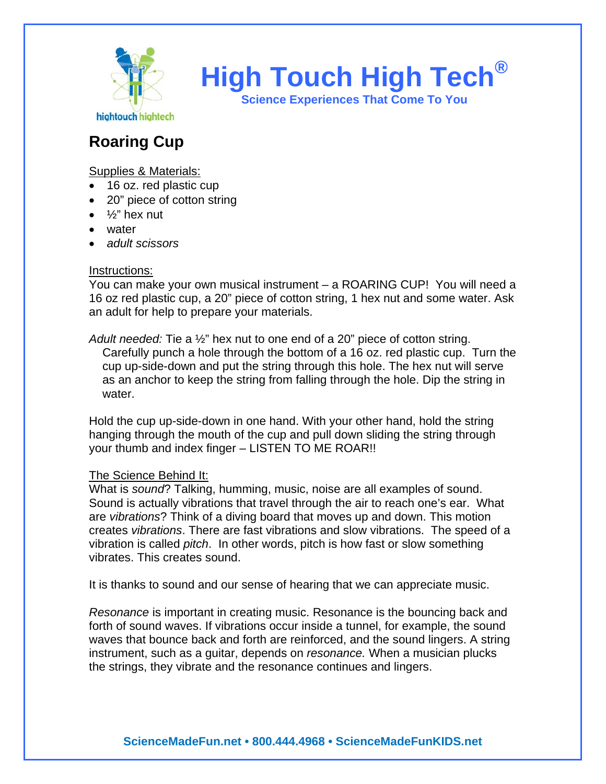

**High Touch High Tech®**

**Science Experiences That Come To You** 

## **Roaring Cup**

Supplies & Materials:

- 16 oz. red plastic cup
- 20" piece of cotton string
- ½" hex nut
- water
- *adult scissors*

## Instructions:

You can make your own musical instrument – a ROARING CUP! You will need a 16 oz red plastic cup, a 20" piece of cotton string, 1 hex nut and some water. Ask an adult for help to prepare your materials.

*Adult needed:* Tie a ½" hex nut to one end of a 20" piece of cotton string. Carefully punch a hole through the bottom of a 16 oz. red plastic cup. Turn the cup up-side-down and put the string through this hole. The hex nut will serve as an anchor to keep the string from falling through the hole. Dip the string in water.

Hold the cup up-side-down in one hand. With your other hand, hold the string hanging through the mouth of the cup and pull down sliding the string through your thumb and index finger – LISTEN TO ME ROAR!!

## The Science Behind It:

What is *sound*? Talking, humming, music, noise are all examples of sound. Sound is actually vibrations that travel through the air to reach one's ear. What are *vibrations*? Think of a diving board that moves up and down. This motion creates *vibrations*. There are fast vibrations and slow vibrations. The speed of a vibration is called *pitch*. In other words, pitch is how fast or slow something vibrates. This creates sound.

It is thanks to sound and our sense of hearing that we can appreciate music.

*Resonance* is important in creating music. Resonance is the bouncing back and forth of sound waves. If vibrations occur inside a tunnel, for example, the sound waves that bounce back and forth are reinforced, and the sound lingers. A string instrument, such as a guitar, depends on *resonance.* When a musician plucks the strings, they vibrate and the resonance continues and lingers.